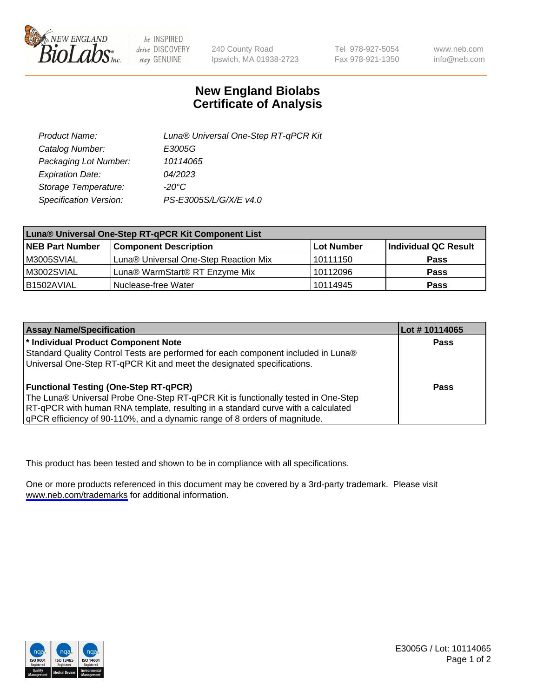

be INSPIRED drive DISCOVERY stay GENUINE

240 County Road Ipswich, MA 01938-2723 Tel 978-927-5054 Fax 978-921-1350

www.neb.com info@neb.com

## **New England Biolabs Certificate of Analysis**

| Product Name:           | Luna® Universal One-Step RT-qPCR Kit |
|-------------------------|--------------------------------------|
| Catalog Number:         | E3005G                               |
| Packaging Lot Number:   | 10114065                             |
| <b>Expiration Date:</b> | 04/2023                              |
| Storage Temperature:    | $-20^{\circ}$ C                      |
| Specification Version:  | PS-E3005S/L/G/X/E v4.0               |

| Luna® Universal One-Step RT-qPCR Kit Component List |                                       |            |                      |  |
|-----------------------------------------------------|---------------------------------------|------------|----------------------|--|
| <b>NEB Part Number</b>                              | <b>Component Description</b>          | Lot Number | Individual QC Result |  |
| M3005SVIAL                                          | Luna® Universal One-Step Reaction Mix | l 10111150 | Pass                 |  |
| M3002SVIAL                                          | Luna® WarmStart® RT Enzyme Mix        | 10112096   | <b>Pass</b>          |  |
| B1502AVIAL                                          | Nuclease-free Water                   | 10114945   | <b>Pass</b>          |  |

| <b>Assay Name/Specification</b>                                                   | Lot #10114065 |
|-----------------------------------------------------------------------------------|---------------|
| * Individual Product Component Note                                               | <b>Pass</b>   |
| Standard Quality Control Tests are performed for each component included in Luna® |               |
| Universal One-Step RT-qPCR Kit and meet the designated specifications.            |               |
| <b>Functional Testing (One-Step RT-qPCR)</b>                                      | Pass          |
| The Luna® Universal Probe One-Step RT-qPCR Kit is functionally tested in One-Step |               |
| RT-qPCR with human RNA template, resulting in a standard curve with a calculated  |               |
| gPCR efficiency of 90-110%, and a dynamic range of 8 orders of magnitude.         |               |

This product has been tested and shown to be in compliance with all specifications.

One or more products referenced in this document may be covered by a 3rd-party trademark. Please visit <www.neb.com/trademarks>for additional information.